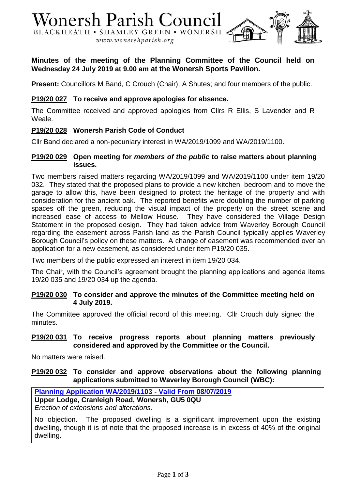

# **Minutes of the meeting of the Planning Committee of the Council held on Wednesday 24 July 2019 at 9.00 am at the Wonersh Sports Pavilion.**

**Present:** Councillors M Band, C Crouch (Chair), A Shutes; and four members of the public.

## **P19/20 027 To receive and approve apologies for absence.**

The Committee received and approved apologies from Cllrs R Ellis, S Lavender and R Weale.

## **P19/20 028 Wonersh Parish Code of Conduct**

Cllr Band declared a non-pecuniary interest in WA/2019/1099 and WA/2019/1100.

### **P19/20 029 Open meeting for** *members of the public* **to raise matters about planning issues.**

Two members raised matters regarding WA/2019/1099 and WA/2019/1100 under item 19/20 032. They stated that the proposed plans to provide a new kitchen, bedroom and to move the garage to allow this, have been designed to protect the heritage of the property and with consideration for the ancient oak. The reported benefits were doubling the number of parking spaces off the green, reducing the visual impact of the property on the street scene and increased ease of access to Mellow House. They have considered the Village Design Statement in the proposed design. They had taken advice from Waverley Borough Council regarding the easement across Parish land as the Parish Council typically applies Waverley Borough Council's policy on these matters. A change of easement was recommended over an application for a new easement, as considered under item P19/20 035.

Two members of the public expressed an interest in item 19/20 034.

The Chair, with the Council's agreement brought the planning applications and agenda items 19/20 035 and 19/20 034 up the agenda.

#### **P19/20 030 To consider and approve the minutes of the Committee meeting held on 4 July 2019.**

The Committee approved the official record of this meeting. Cllr Crouch duly signed the minutes.

### **P19/20 031 To receive progress reports about planning matters previously considered and approved by the Committee or the Council.**

No matters were raised.

## **P19/20 032 To consider and approve observations about the following planning applications submitted to Waverley Borough Council (WBC):**

**[Planning Application WA/2019/1103 -](http://planning360.waverley.gov.uk/planning/search-applications#VIEW?RefType=GFPlanning&KeyNo=332251&KeyText=Subject) Valid From 08/07/2019**

**Upper Lodge, Cranleigh Road, Wonersh, GU5 0QU**

*Erection of extensions and alterations.*

No objection. The proposed dwelling is a significant improvement upon the existing dwelling, though it is of note that the proposed increase is in excess of 40% of the original dwelling.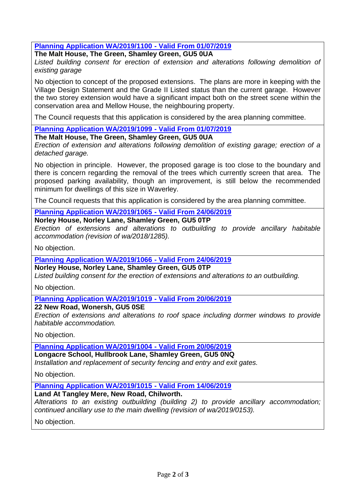**[Planning Application WA/2019/1100 -](http://planning360.waverley.gov.uk/planning/search-applications#VIEW?RefType=GFPlanning&KeyNo=361133&KeyText=Subject) Valid From 01/07/2019**

**The Malt House, The Green, Shamley Green, GU5 0UA**

*Listed building consent for erection of extension and alterations following demolition of existing garage*

No objection to concept of the proposed extensions. The plans are more in keeping with the Village Design Statement and the Grade II Listed status than the current garage. However the two storey extension would have a significant impact both on the street scene within the conservation area and Mellow House, the neighbouring property.

The Council requests that this application is considered by the area planning committee.

**[Planning Application WA/2019/1099 -](http://planning360.waverley.gov.uk/planning/search-applications#VIEW?RefType=GFPlanning&KeyNo=358116&KeyText=Subject) Valid From 01/07/2019**

**The Malt House, The Green, Shamley Green, GU5 0UA**

*Erection of extension and alterations following demolition of existing garage; erection of a detached garage.*

No objection in principle. However, the proposed garage is too close to the boundary and there is concern regarding the removal of the trees which currently screen that area. The proposed parking availability, though an improvement, is still below the recommended minimum for dwellings of this size in Waverley.

The Council requests that this application is considered by the area planning committee.

**[Planning Application WA/2019/1065 -](http://planning360.waverley.gov.uk/planning/search-applications#VIEW?RefType=GFPlanning&KeyNo=362746&KeyText=Subject) Valid From 24/06/2019**

**Norley House, Norley Lane, Shamley Green, GU5 0TP**

*Erection of extensions and alterations to outbuilding to provide ancillary habitable accommodation (revision of wa/2018/1285).*

No objection.

**[Planning Application WA/2019/1066 -](http://planning360.waverley.gov.uk/planning/search-applications#VIEW?RefType=GFPlanning&KeyNo=366648&KeyText=Subject) Valid From 24/06/2019**

**Norley House, Norley Lane, Shamley Green, GU5 0TP**

*Listed building consent for the erection of extensions and alterations to an outbuilding.*

No objection.

**[Planning Application WA/2019/1019 -](http://planning360.waverley.gov.uk/planning/search-applications#VIEW?RefType=GFPlanning&KeyNo=360467&KeyText=Subject) Valid From 20/06/2019**

### **22 New Road, Wonersh, GU5 0SE**

*Erection of extensions and alterations to roof space including dormer windows to provide habitable accommodation.*

No objection.

**[Planning Application WA/2019/1004 -](http://planning360.waverley.gov.uk/planning/search-applications#VIEW?RefType=GFPlanning&KeyNo=356745&KeyText=Subject) Valid From 20/06/2019**

**Longacre School, Hullbrook Lane, Shamley Green, GU5 0NQ**

*Installation and replacement of security fencing and entry and exit gates.*

No objection.

**[Planning Application WA/2019/1015 -](http://planning360.waverley.gov.uk/planning/search-applications#VIEW?RefType=GFPlanning&KeyNo=360373&KeyText=Subject) Valid From 14/06/2019**

**Land At Tangley Mere, New Road, Chilworth.**

*Alterations to an existing outbuilding (building 2) to provide ancillary accommodation; continued ancillary use to the main dwelling (revision of wa/2019/0153).*

No objection.